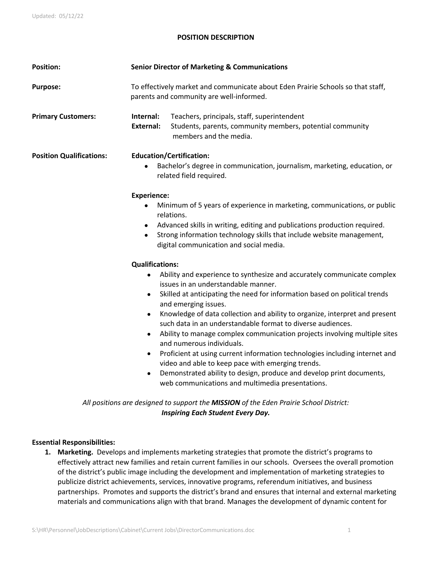## **POSITION DESCRIPTION**

| <b>Position:</b>                | <b>Senior Director of Marketing &amp; Communications</b>                                                                                                                                                                                                                                                                                                                                                                                                                                                                                                                                                                                                                                                                                                                                                                                |  |
|---------------------------------|-----------------------------------------------------------------------------------------------------------------------------------------------------------------------------------------------------------------------------------------------------------------------------------------------------------------------------------------------------------------------------------------------------------------------------------------------------------------------------------------------------------------------------------------------------------------------------------------------------------------------------------------------------------------------------------------------------------------------------------------------------------------------------------------------------------------------------------------|--|
| <b>Purpose:</b>                 | To effectively market and communicate about Eden Prairie Schools so that staff,<br>parents and community are well-informed.                                                                                                                                                                                                                                                                                                                                                                                                                                                                                                                                                                                                                                                                                                             |  |
| <b>Primary Customers:</b>       | Teachers, principals, staff, superintendent<br>Internal:<br>Students, parents, community members, potential community<br><b>External:</b><br>members and the media.                                                                                                                                                                                                                                                                                                                                                                                                                                                                                                                                                                                                                                                                     |  |
| <b>Position Qualifications:</b> | <b>Education/Certification:</b><br>Bachelor's degree in communication, journalism, marketing, education, or<br>related field required.                                                                                                                                                                                                                                                                                                                                                                                                                                                                                                                                                                                                                                                                                                  |  |
|                                 | <b>Experience:</b><br>Minimum of 5 years of experience in marketing, communications, or public<br>relations.<br>Advanced skills in writing, editing and publications production required.<br>$\bullet$<br>Strong information technology skills that include website management,<br>$\bullet$<br>digital communication and social media.                                                                                                                                                                                                                                                                                                                                                                                                                                                                                                 |  |
|                                 | <b>Qualifications:</b><br>Ability and experience to synthesize and accurately communicate complex<br>$\bullet$<br>issues in an understandable manner.<br>Skilled at anticipating the need for information based on political trends<br>$\bullet$<br>and emerging issues.<br>Knowledge of data collection and ability to organize, interpret and present<br>$\bullet$<br>such data in an understandable format to diverse audiences.<br>Ability to manage complex communication projects involving multiple sites<br>and numerous individuals.<br>Proficient at using current information technologies including internet and<br>$\bullet$<br>video and able to keep pace with emerging trends.<br>Demonstrated ability to design, produce and develop print documents,<br>$\bullet$<br>web communications and multimedia presentations. |  |
|                                 | All positions are designed to support the MISSION of the Eden Prairie School District:                                                                                                                                                                                                                                                                                                                                                                                                                                                                                                                                                                                                                                                                                                                                                  |  |

# *Inspiring Each Student Every Day.*

### **Essential Responsibilities:**

**1. Marketing.** Develops and implements marketing strategies that promote the district's programs to effectively attract new families and retain current families in our schools. Oversees the overall promotion of the district's public image including the development and implementation of marketing strategies to publicize district achievements, services, innovative programs, referendum initiatives, and business partnerships. Promotes and supports the district's brand and ensures that internal and external marketing materials and communications align with that brand. Manages the development of dynamic content for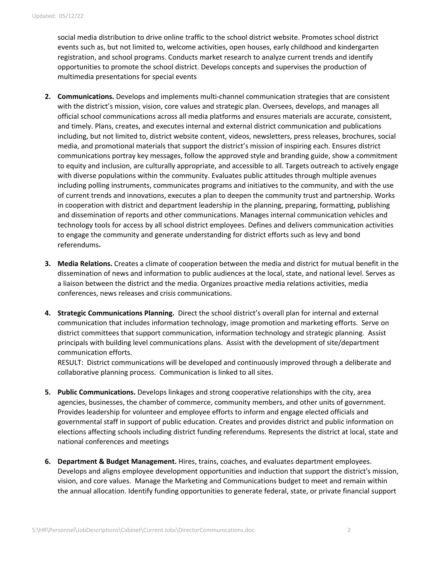social media distribution to drive online traffic to the school district website. Promotes school district events such as, but not limited to, welcome activities, open houses, early childhood and kindergarten registration, and school programs. Conducts market research to analyze current trends and identify opportunities to promote the school district. Develops concepts and supervises the production of multimedia presentations for special events

- **2. Communications.** Develops and implements multi-channel communication strategies that are consistent with the district's mission, vision, core values and strategic plan. Oversees, develops, and manages all official school communications across all media platforms and ensures materials are accurate, consistent, and timely. Plans, creates, and executes internal and external district communication and publications including, but not limited to, district website content, videos, newsletters, press releases, brochures, social media, and promotional materials that support the district's mission of inspiring each. Ensures district communications portray key messages, follow the approved style and branding guide, show a commitment to equity and inclusion, are culturally appropriate, and accessible to all. Targets outreach to actively engage with diverse populations within the community. Evaluates public attitudes through multiple avenues including polling instruments, communicates programs and initiatives to the community, and with the use of current trends and innovations, executes a plan to deepen the community trust and partnership. Works in cooperation with district and department leadership in the planning, preparing, formatting, publishing and dissemination of reports and other communications. Manages internal communication vehicles and technology tools for access by all school district employees. Defines and delivers communication activities to engage the community and generate understanding for district efforts such as levy and bond referendums**.**
- **3. Media Relations.** Creates a climate of cooperation between the media and district for mutual benefit in the dissemination of news and information to public audiences at the local, state, and national level. Serves as a liaison between the district and the media. Organizes proactive media relations activities, media conferences, news releases and crisis communications.
- **4. Strategic Communications Planning.** Direct the school district's overall plan for internal and external communication that includes information technology, image promotion and marketing efforts. Serve on district committees that support communication, information technology and strategic planning. Assist principals with building level communications plans. Assist with the development of site/department communication efforts.

RESULT: District communications will be developed and continuously improved through a deliberate and collaborative planning process. Communication is linked to all sites.

- **5. Public Communications.** Develops linkages and strong cooperative relationships with the city, area agencies, businesses, the chamber of commerce, community members, and other units of government. Provides leadership for volunteer and employee efforts to inform and engage elected officials and governmental staff in support of public education. Creates and provides district and public information on elections affecting schools including district funding referendums. Represents the district at local, state and national conferences and meetings
- **6. Department & Budget Management.** Hires, trains, coaches, and evaluates department employees. Develops and aligns employee development opportunities and induction that support the district's mission, vision, and core values. Manage the Marketing and Communications budget to meet and remain within the annual allocation. Identify funding opportunities to generate federal, state, or private financial support